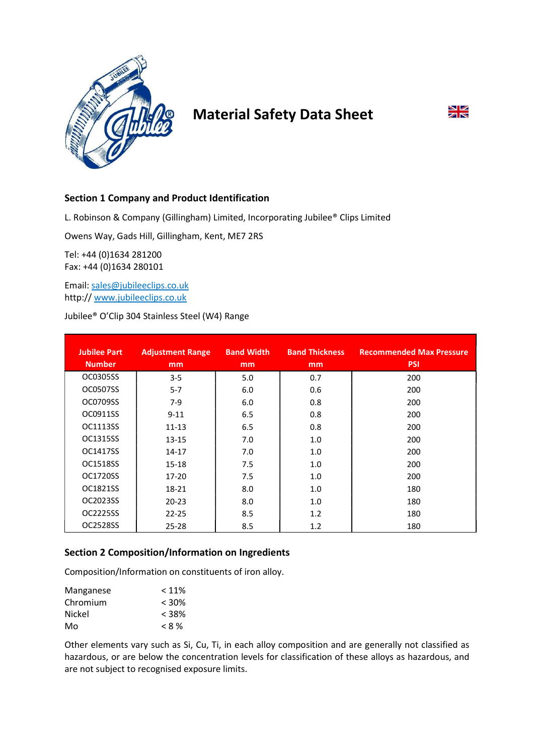

# Material Safety Data Sheet



# Section 1 Company and Product Identification

L. Robinson & Company (Gillingham) Limited, Incorporating Jubilee® Clips Limited

Owens Way, Gads Hill, Gillingham, Kent, ME7 2RS

Tel: +44 (0)1634 281200 Fax: +44 (0)1634 280101

Email: sales@jubileeclips.co.uk http:// www.jubileeclips.co.uk

Jubilee® O'Clip 304 Stainless Steel (W4) Range

| <b>Jubilee Part</b><br><b>Number</b> | <b>Adjustment Range</b><br>mm | <b>Band Width</b><br>mm | <b>Band Thickness</b><br>mm | <b>Recommended Max Pressure</b><br><b>PSI</b> |
|--------------------------------------|-------------------------------|-------------------------|-----------------------------|-----------------------------------------------|
| OC0305SS                             | $3 - 5$                       | 5.0                     | 0.7                         | 200                                           |
| OC0507SS                             | $5 - 7$                       | 6.0                     | 0.6                         | 200                                           |
| OC0709SS                             | $7-9$                         | 6.0                     | 0.8                         | 200                                           |
| OC0911SS                             | $9 - 11$                      | 6.5                     | 0.8                         | 200                                           |
| OC1113SS                             | $11 - 13$                     | 6.5                     | 0.8                         | 200                                           |
| OC1315SS                             | $13 - 15$                     | 7.0                     | 1.0                         | 200                                           |
| OC1417SS                             | $14 - 17$                     | 7.0                     | 1.0                         | 200                                           |
| OC1518SS                             | $15 - 18$                     | 7.5                     | 1.0                         | 200                                           |
| OC1720SS                             | $17 - 20$                     | 7.5                     | 1.0                         | 200                                           |
| OC1821SS                             | 18-21                         | 8.0                     | 1.0                         | 180                                           |
| OC2023SS                             | $20 - 23$                     | 8.0                     | 1.0                         | 180                                           |
| OC2225SS                             | $22 - 25$                     | 8.5                     | 1.2                         | 180                                           |
| OC2528SS                             | $25 - 28$                     | 8.5                     | 1.2                         | 180                                           |

# Section 2 Composition/Information on Ingredients

Composition/Information on constituents of iron alloy.

| Manganese | $< 11\%$ |
|-----------|----------|
| Chromium  | $< 30\%$ |
| Nickel    | $<$ 38%  |
| Mo        | $< 8\%$  |

Other elements vary such as Si, Cu, Ti, in each alloy composition and are generally not classified as hazardous, or are below the concentration levels for classification of these alloys as hazardous, and are not subject to recognised exposure limits.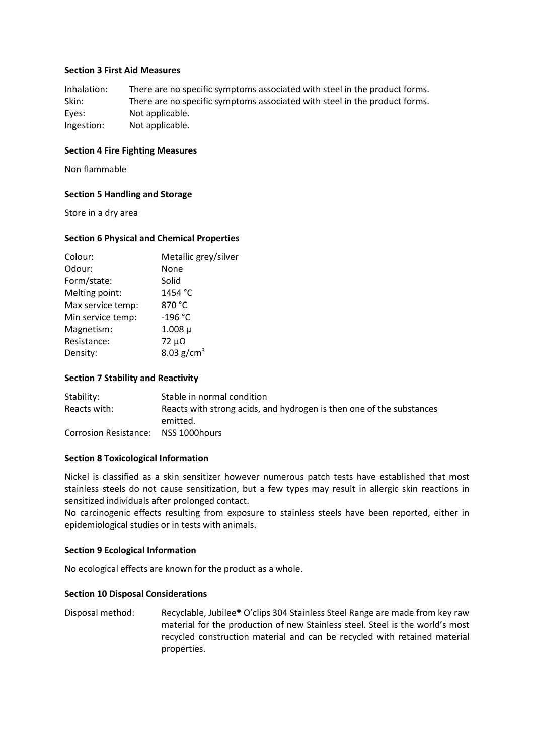## Section 3 First Aid Measures

Inhalation: There are no specific symptoms associated with steel in the product forms. Skin: There are no specific symptoms associated with steel in the product forms. Eyes: Not applicable. Ingestion: Not applicable.

## Section 4 Fire Fighting Measures

Non flammable

#### Section 5 Handling and Storage

Store in a dry area

#### Section 6 Physical and Chemical Properties

| Colour:           | Metallic grey/silver |
|-------------------|----------------------|
| Odour:            | None                 |
| Form/state:       | Solid                |
| Melting point:    | 1454 °C              |
| Max service temp: | 870 °C               |
| Min service temp: | $-196 °C$            |
| Magnetism:        | $1.008 \mu$          |
| Resistance:       | $72 \mu\Omega$       |
| Density:          | 8.03 $g/cm^{3}$      |
|                   |                      |

## Section 7 Stability and Reactivity

| Stability:                           | Stable in normal condition                                           |
|--------------------------------------|----------------------------------------------------------------------|
| Reacts with:                         | Reacts with strong acids, and hydrogen is then one of the substances |
|                                      | emitted.                                                             |
| Corrosion Resistance: NSS 1000 hours |                                                                      |

#### Section 8 Toxicological Information

Nickel is classified as a skin sensitizer however numerous patch tests have established that most stainless steels do not cause sensitization, but a few types may result in allergic skin reactions in sensitized individuals after prolonged contact.

No carcinogenic effects resulting from exposure to stainless steels have been reported, either in epidemiological studies or in tests with animals.

#### Section 9 Ecological Information

No ecological effects are known for the product as a whole.

#### Section 10 Disposal Considerations

Disposal method: Recyclable, Jubilee® O'clips 304 Stainless Steel Range are made from key raw material for the production of new Stainless steel. Steel is the world's most recycled construction material and can be recycled with retained material properties.